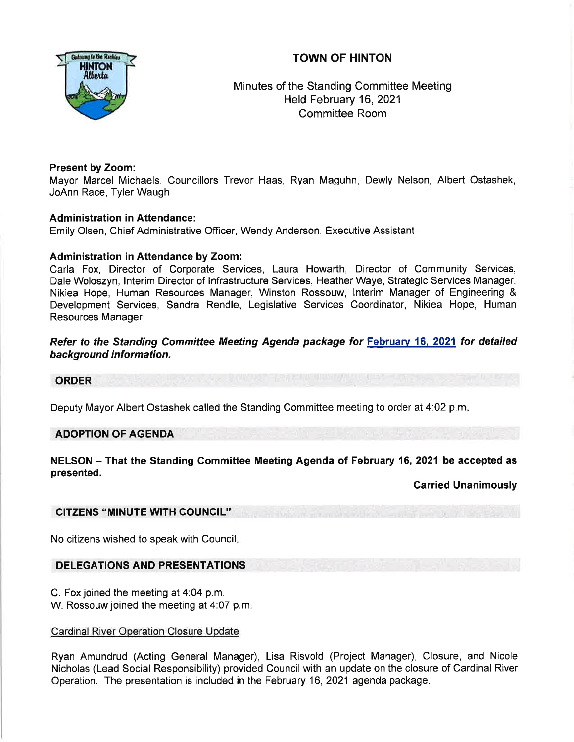# TOWN OF HINTON



Minutes of the Standing Committee Meeting Held February 16,2021 Committee Room

# Present by Zoom:

Mayor Marcel Michaels, Councillors Trevor Haas, Ryan Maguhn, Dewly Nelson, Albert Ostashek, JoAnn Race, Tyler Waugh

#### Administration in Attendance:

Emily Olsen, Chief Administrative Officer, Wendy Anderson, Executive Assistant

#### Administration in Attendance by Zoom:

Carla Fox, Director of Corporate Services, Laura Howarth, Director of Community Services, Dale Woloszyn, lnterim Director of lnfrastructure Services, Heather Waye, Strategic Services Manager, Nikiea Hope, Human Resources Manager, Winston Rossouw, lnterim Manager of Engineering & Development Services, Sandra Rendle, Legislative Services Coordinator, Nikiea Hope, Human Resources Manager

#### Refer to the Standing Committee Meeting Agenda package for February 16, 2021 for detailed background information.

#### ORDER

Deputy Mayor Albert Ostashek called the Standing Committee meeting to order at 4:02 p.m

# ADOPTION OF AGENDA

# NELSON - That the Standing Committee Meeting Agenda of February 16, 2021 be accepted as presented.

Carried Unanimously

# CITZENS "MINUTE WTH GOUNCIL''

No citizens wished to speak with Council

# DELEGATIONS AND PRESENTATIONS

- C. Fox joined the meeting at 4:04 p.m.
- W. Rossouw joined the meeting at 4:07 p.m

# Cardinal River Operation Closure Update

Ryan Amundrud (Acting General Manager), Lisa Risvold (Project Manager), Closure, and Nicole Nicholas (Lead Social Responsibility) provided Council with an update on the closure of Cardinal River Operation. The presentation is included in the February 16,2Q21 agenda package.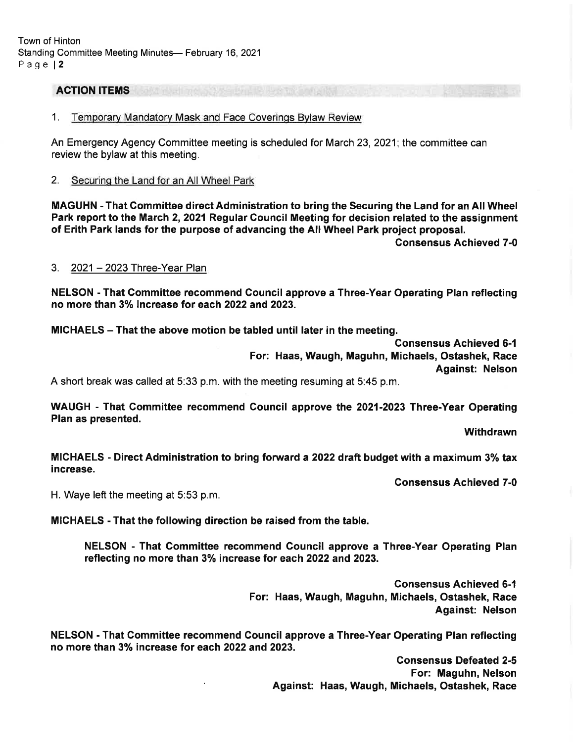Town of Hinton Standing Committee Meeting Minutes- February 16, 2021 Page l2

# ACTION ITEMS

1. Temporarv Mandatorv Mask and Face Coverinqs Bvlaw Review

An Emergency Agency Committee meeting is scheduled for March 23,2021; the committee can review the bylaw at this meeting.

2. Securinq the Land for an All Wheel Park

MAGUHN - That Gommittee direct Administration to bring the Securing the Land for an All Wheel Park report to the March 2, 2021 Regular Council Meeting for decision related to the assignment of Erith Park lands for the purpose of advancing the All Wheel Park project proposal. Consensus Achieved 7-0

#### 3. 2021 - 2023 Three-Year Plan

NELSON - That Gommittee recommend Council approve a Three-Year Operating Plan reflecting no more than 3% increase for each 2022 and 2023.

MICHAELS - That the above motion be tabled until later in the meeting.

Gonsensus Achieved 6-1 For: Haas, Waugh, Maguhn, Michaels, Ostashek, Race Against: Nelson

A short break was called at 5:33 p.m. with the meeting resuming at 5:45 p.m.

WAUGH - That Committee recommend Council approve the 2021-2023 Three-Year Operating Plan as presented.

**Withdrawn** 

MICHAELS - Direct Administration to bring forward a 2022 draft budget with a maximum 3% tax increase,

Gonsensus Achieved 7-0

H. Waye left the meeting at 5:53 p.m.

MICHAELS - That the following direction be raised from the table.

NELSON - That Committee recommend Gouncil approve a Three-Year Operating Plan reflecting no more than 3% increase for each 2022 and 2023.

> Gonsensus Achieved 6-1 For: Haas, Waugh, Maguhn, Michaels, Ostashek, Race Against: Nelson

NELSON - That Committee recommend Council approve a Three-Year Operating Plan reflecting no more than 3% increase for each 2022 and 2023.

> Gonsensus Defeated 2-5 For: Maguhn, Nelson Against: Haas, Waugh, Michaels, Ostashek, Race